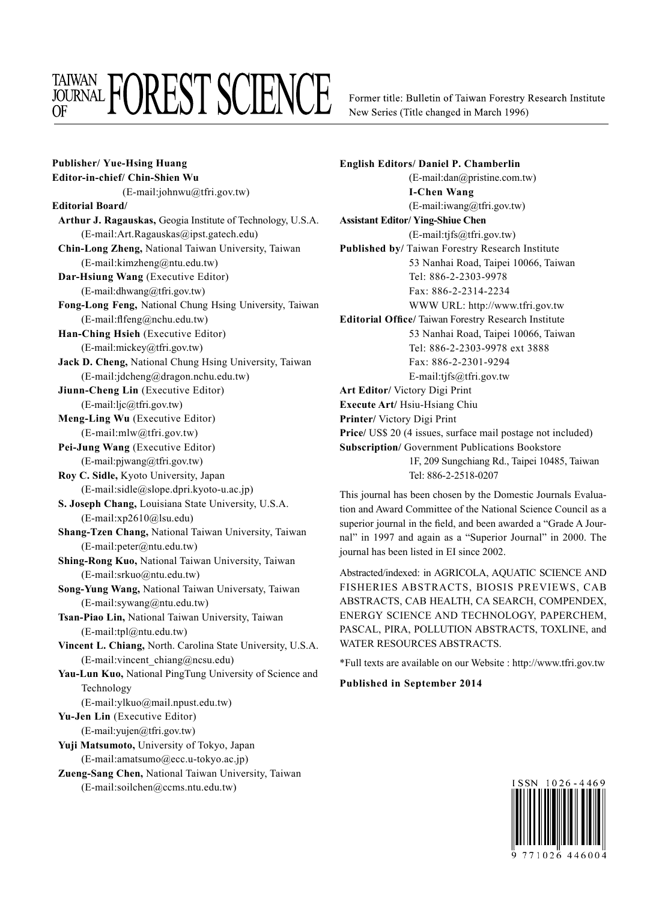## **TAIWAN FOREST SCIENCE**

Former title: Bulletin of Taiwan Forestry Research Institute New Series (Title changed in March 1996)

**Publisher/ Yue-Hsing Huang Editor-in-chief/ Chin-Shien Wu** (E-mail:johnwu@tfri.gov.tw) **Editorial Board/ Arthur J. Ragauskas,** Geogia Institute of Technology, U.S.A. (E-mail:Art.Ragauskas@ipst.gatech.edu) **Chin-Long Zheng,** National Taiwan University, Taiwan (E-mail:kimzheng@ntu.edu.tw) **Dar-Hsiung Wang** (Executive Editor) (E-mail:dhwang@tfri.gov.tw) **Fong-Long Feng,** National Chung Hsing University, Taiwan (E-mail:flfeng@nchu.edu.tw) **Han-Ching Hsieh** (Executive Editor) (E-mail:mickey@tfri.gov.tw) **Jack D. Cheng,** National Chung Hsing University, Taiwan (E-mail:jdcheng@dragon.nchu.edu.tw) **Jiunn-Cheng Lin** (Executive Editor) (E-mail:ljc@tfri.gov.tw) **Meng-Ling Wu** (Executive Editor) (E-mail:mlw@tfri.gov.tw) **Pei-Jung Wang** (Executive Editor) (E-mail:pjwang@tfri.gov.tw) **Roy C. Sidle,** Kyoto University, Japan (E-mail:sidle@slope.dpri.kyoto-u.ac.jp) **S. Joseph Chang,** Louisiana State University, U.S.A. (E-mail:xp2610@lsu.edu) **Shang-Tzen Chang,** National Taiwan University, Taiwan (E-mail:peter@ntu.edu.tw) **Shing-Rong Kuo,** National Taiwan University, Taiwan (E-mail:srkuo@ntu.edu.tw) **Song-Yung Wang,** National Taiwan Universaty, Taiwan (E-mail:sywang@ntu.edu.tw) **Tsan-Piao Lin,** National Taiwan University, Taiwan (E-mail:tpl@ntu.edu.tw) **Vincent L. Chiang,** North. Carolina State University, U.S.A. (E-mail:vincent\_chiang@ncsu.edu) **Yau-Lun Kuo,** National PingTung University of Science and Technology (E-mail:ylkuo@mail.npust.edu.tw) **Yu-Jen Lin** (Executive Editor) (E-mail:yujen@tfri.gov.tw) **Yuji Matsumoto,** University of Tokyo, Japan (E-mail:amatsumo@ecc.u-tokyo.ac.jp) **Zueng-Sang Chen,** National Taiwan University, Taiwan

(E-mail:soilchen@ccms.ntu.edu.tw)

**English Editors/ Daniel P. Chamberlin** (E-mail:dan@pristine.com.tw) **I-Chen Wang** (E-mail:iwang@tfri.gov.tw) **Assistant Editor/ Ying-Shiue Chen** (E-mail:tjfs@tfri.gov.tw) **Published by/** Taiwan Forestry Research Institute 53 Nanhai Road, Taipei 10066, Taiwan Tel: 886-2-2303-9978 Fax: 886-2-2314-2234 WWW URL: http://www.tfri.gov.tw **Editorial Office/** Taiwan Forestry Research Institute 53 Nanhai Road, Taipei 10066, Taiwan Tel: 886-2-2303-9978 ext 3888 Fax: 886-2-2301-9294 E-mail:tjfs@tfri.gov.tw **Art Editor/** Victory Digi Print **Execute Art/** Hsiu-Hsiang Chiu **Printer/** Victory Digi Print **Price/** US\$ 20 (4 issues, surface mail postage not included) **Subscription/** Government Publications Bookstore 1F, 209 Sungchiang Rd., Taipei 10485, Taiwan Tel: 886-2-2518-0207

This journal has been chosen by the Domestic Journals Evaluation and Award Committee of the National Science Council as a superior journal in the field, and been awarded a "Grade A Journal" in 1997 and again as a "Superior Journal" in 2000. The journal has been listed in EI since 2002.

Abstracted/indexed: in AGRICOLA, AQUATIC SCIENCE AND FISHERIES ABSTRACTS, BIOSIS PREVIEWS, CAB ABSTRACTS, CAB HEALTH, CA SEARCH, COMPENDEX, ENERGY SCIENCE AND TECHNOLOGY, PAPERCHEM, PASCAL, PIRA, POLLUTION ABSTRACTS, TOXLINE, and WATER RESOURCES ABSTRACTS.

\*Full texts are available on our Website : http://www.tfri.gov.tw

## **Published in September 2014**